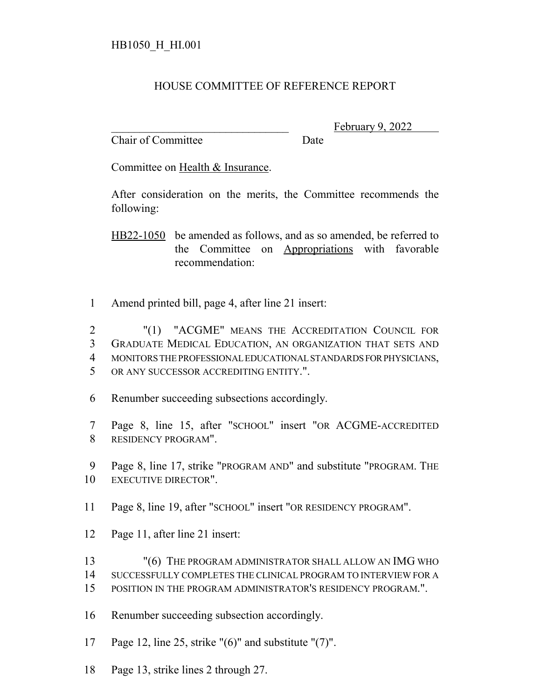## HOUSE COMMITTEE OF REFERENCE REPORT

Chair of Committee Date

February 9, 2022

Committee on Health & Insurance.

After consideration on the merits, the Committee recommends the following:

HB22-1050 be amended as follows, and as so amended, be referred to the Committee on Appropriations with favorable recommendation:

Amend printed bill, page 4, after line 21 insert:

 "(1) "ACGME" MEANS THE ACCREDITATION COUNCIL FOR GRADUATE MEDICAL EDUCATION, AN ORGANIZATION THAT SETS AND MONITORS THE PROFESSIONAL EDUCATIONAL STANDARDS FOR PHYSICIANS, OR ANY SUCCESSOR ACCREDITING ENTITY.".

- Renumber succeeding subsections accordingly.
- Page 8, line 15, after "SCHOOL" insert "OR ACGME-ACCREDITED RESIDENCY PROGRAM".

 Page 8, line 17, strike "PROGRAM AND" and substitute "PROGRAM. THE EXECUTIVE DIRECTOR".

- Page 8, line 19, after "SCHOOL" insert "OR RESIDENCY PROGRAM".
- Page 11, after line 21 insert:
- "(6) THE PROGRAM ADMINISTRATOR SHALL ALLOW AN IMG WHO
- SUCCESSFULLY COMPLETES THE CLINICAL PROGRAM TO INTERVIEW FOR A
- POSITION IN THE PROGRAM ADMINISTRATOR'S RESIDENCY PROGRAM.".

Renumber succeeding subsection accordingly.

- Page 12, line 25, strike "(6)" and substitute "(7)".
- Page 13, strike lines 2 through 27.